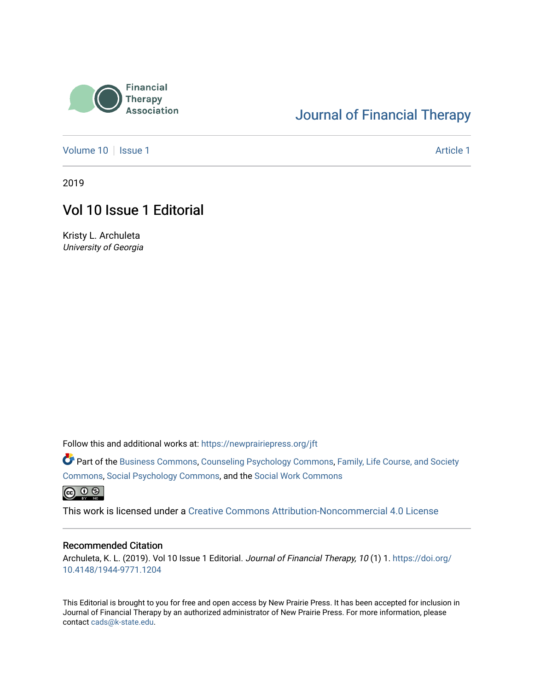

## [Journal of Financial Therapy](https://newprairiepress.org/jft)

[Volume 10](https://newprairiepress.org/jft/vol10) | [Issue 1](https://newprairiepress.org/jft/vol10/iss1) Article 1

2019

## Vol 10 Issue 1 Editorial

Kristy L. Archuleta University of Georgia

Follow this and additional works at: [https://newprairiepress.org/jft](https://newprairiepress.org/jft?utm_source=newprairiepress.org%2Fjft%2Fvol10%2Fiss1%2F1&utm_medium=PDF&utm_campaign=PDFCoverPages)

Part of the [Business Commons](http://network.bepress.com/hgg/discipline/622?utm_source=newprairiepress.org%2Fjft%2Fvol10%2Fiss1%2F1&utm_medium=PDF&utm_campaign=PDFCoverPages), [Counseling Psychology Commons,](http://network.bepress.com/hgg/discipline/1044?utm_source=newprairiepress.org%2Fjft%2Fvol10%2Fiss1%2F1&utm_medium=PDF&utm_campaign=PDFCoverPages) [Family, Life Course, and Society](http://network.bepress.com/hgg/discipline/419?utm_source=newprairiepress.org%2Fjft%2Fvol10%2Fiss1%2F1&utm_medium=PDF&utm_campaign=PDFCoverPages)  [Commons](http://network.bepress.com/hgg/discipline/419?utm_source=newprairiepress.org%2Fjft%2Fvol10%2Fiss1%2F1&utm_medium=PDF&utm_campaign=PDFCoverPages), [Social Psychology Commons,](http://network.bepress.com/hgg/discipline/414?utm_source=newprairiepress.org%2Fjft%2Fvol10%2Fiss1%2F1&utm_medium=PDF&utm_campaign=PDFCoverPages) and the [Social Work Commons](http://network.bepress.com/hgg/discipline/713?utm_source=newprairiepress.org%2Fjft%2Fvol10%2Fiss1%2F1&utm_medium=PDF&utm_campaign=PDFCoverPages) 

 $\bigcirc$  0  $\circ$ 

This work is licensed under a [Creative Commons Attribution-Noncommercial 4.0 License](https://creativecommons.org/licenses/by-nc/4.0/)

#### Recommended Citation

Archuleta, K. L. (2019). Vol 10 Issue 1 Editorial. Journal of Financial Therapy, 10 (1) 1. [https://doi.org/](https://doi.org/10.4148/1944-9771.1204) [10.4148/1944-9771.1204](https://doi.org/10.4148/1944-9771.1204)

This Editorial is brought to you for free and open access by New Prairie Press. It has been accepted for inclusion in Journal of Financial Therapy by an authorized administrator of New Prairie Press. For more information, please contact [cads@k-state.edu](mailto:cads@k-state.edu).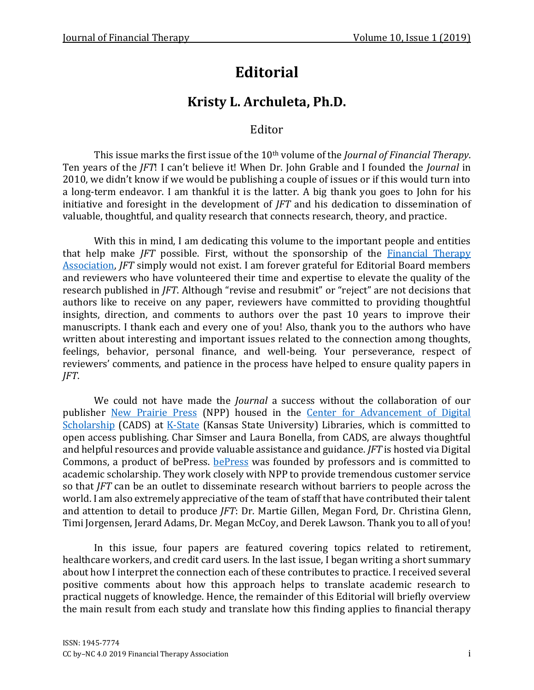# **Editorial**

## **Kristy L. Archuleta, Ph.D.**

### Editor

This issue marks the first issue of the 10<sup>th</sup> volume of the *Journal of Financial Therapy*. Ten years of the *JFT*! I can't believe it! When Dr. John Grable and I founded the *Journal* in 2010, we didn't know if we would be publishing a couple of issues or if this would turn into a long-term endeavor. I am thankful it is the latter. A big thank you goes to John for his initiative and foresight in the development of *JFT* and his dedication to dissemination of valuable, thoughtful, and quality research that connects research, theory, and practice.

With this in mind, I am dedicating this volume to the important people and entities that help make *JFT* possible. First, without the sponsorship of the **Financial Therapy** [Association,](https://www.financialtherapyassociation.org/) *JFT* simply would not exist. I am forever grateful for Editorial Board members and reviewers who have volunteered their time and expertise to elevate the quality of the research published in *JFT*. Although "revise and resubmit" or "reject" are not decisions that authors like to receive on any paper, reviewers have committed to providing thoughtful insights, direction, and comments to authors over the past 10 years to improve their manuscripts. I thank each and every one of you! Also, thank you to the authors who have written about interesting and important issues related to the connection among thoughts, feelings, behavior, personal finance, and well-being. Your perseverance, respect of reviewers' comments, and patience in the process have helped to ensure quality papers in *JFT*.

We could not have made the *Journal* a success without the collaboration of our publisher [New Prairie Press](https://newprairiepress.org/) (NPP) housed in the [Center for Advancement of Digital](https://www.lib.k-state.edu/digital-scholarship)  [Scholarship](https://www.lib.k-state.edu/digital-scholarship) (CADS) at [K-State](https://www.lib.k-state.edu/digital-scholarship) (Kansas State University) Libraries, which is committed to open access publishing. Char Simser and Laura Bonella, from CADS, are always thoughtful and helpful resources and provide valuable assistance and guidance. *JFT* is hosted via Digital Commons, a product of bePress. [bePress](https://www.bepress.com/) was founded by professors and is committed to academic scholarship. They work closely with NPP to provide tremendous customer service so that *JFT* can be an outlet to disseminate research without barriers to people across the world. I am also extremely appreciative of the team of staff that have contributed their talent and attention to detail to produce *JFT*: Dr. Martie Gillen, Megan Ford, Dr. Christina Glenn, Timi Jorgensen, Jerard Adams, Dr. Megan McCoy, and Derek Lawson. Thank you to all of you!

In this issue, four papers are featured covering topics related to retirement, healthcare workers, and credit card users. In the last issue, I began writing a short summary about how I interpret the connection each of these contributes to practice. I received several positive comments about how this approach helps to translate academic research to practical nuggets of knowledge. Hence, the remainder of this Editorial will briefly overview the main result from each study and translate how this finding applies to financial therapy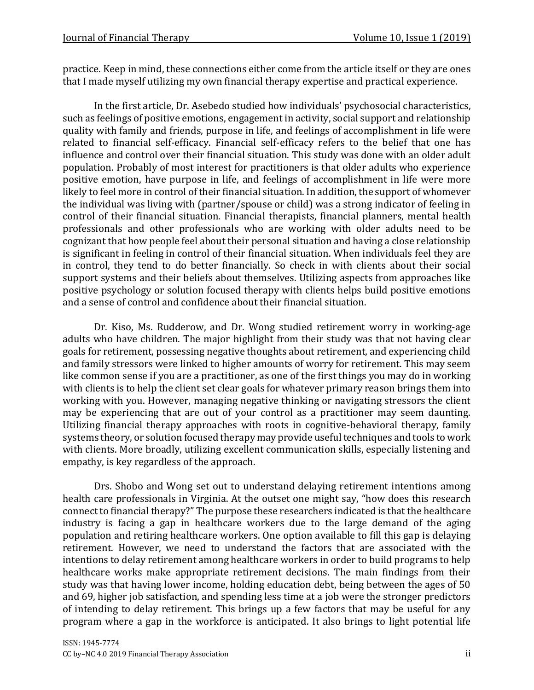practice. Keep in mind, these connections either come from the article itself or they are ones that I made myself utilizing my own financial therapy expertise and practical experience.

In the first article, Dr. Asebedo studied how individuals' psychosocial characteristics, such as feelings of positive emotions, engagement in activity, social support and relationship quality with family and friends, purpose in life, and feelings of accomplishment in life were related to financial self-efficacy. Financial self-efficacy refers to the belief that one has influence and control over their financial situation. This study was done with an older adult population. Probably of most interest for practitioners is that older adults who experience positive emotion, have purpose in life, and feelings of accomplishment in life were more likely to feel more in control of their financial situation. In addition, the support of whomever the individual was living with (partner/spouse or child) was a strong indicator of feeling in control of their financial situation. Financial therapists, financial planners, mental health professionals and other professionals who are working with older adults need to be cognizant that how people feel about their personal situation and having a close relationship is significant in feeling in control of their financial situation. When individuals feel they are in control, they tend to do better financially. So check in with clients about their social support systems and their beliefs about themselves. Utilizing aspects from approaches like positive psychology or solution focused therapy with clients helps build positive emotions and a sense of control and confidence about their financial situation.

Dr. Kiso, Ms. Rudderow, and Dr. Wong studied retirement worry in working-age adults who have children. The major highlight from their study was that not having clear goals for retirement, possessing negative thoughts about retirement, and experiencing child and family stressors were linked to higher amounts of worry for retirement. This may seem like common sense if you are a practitioner, as one of the first things you may do in working with clients is to help the client set clear goals for whatever primary reason brings them into working with you. However, managing negative thinking or navigating stressors the client may be experiencing that are out of your control as a practitioner may seem daunting. Utilizing financial therapy approaches with roots in cognitive-behavioral therapy, family systems theory, or solution focused therapy may provide useful techniques and tools to work with clients. More broadly, utilizing excellent communication skills, especially listening and empathy, is key regardless of the approach.

Drs. Shobo and Wong set out to understand delaying retirement intentions among health care professionals in Virginia. At the outset one might say, "how does this research connect to financial therapy?" The purpose these researchers indicated is that the healthcare industry is facing a gap in healthcare workers due to the large demand of the aging population and retiring healthcare workers. One option available to fill this gap is delaying retirement. However, we need to understand the factors that are associated with the intentions to delay retirement among healthcare workers in order to build programs to help healthcare works make appropriate retirement decisions. The main findings from their study was that having lower income, holding education debt, being between the ages of 50 and 69, higher job satisfaction, and spending less time at a job were the stronger predictors of intending to delay retirement. This brings up a few factors that may be useful for any program where a gap in the workforce is anticipated. It also brings to light potential life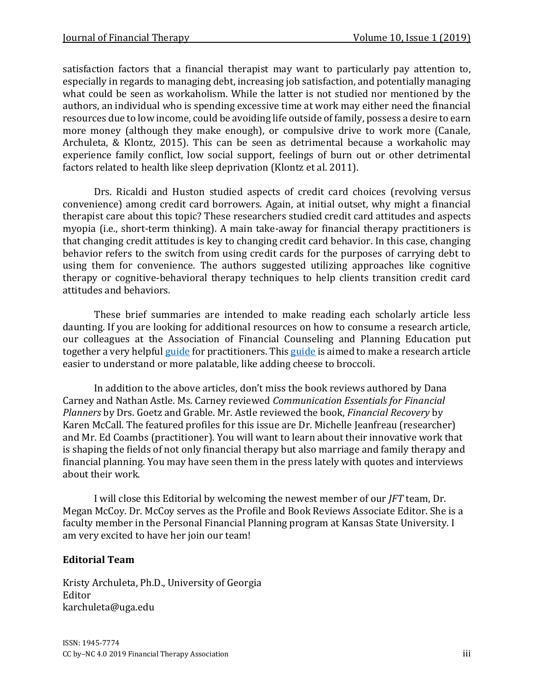satisfaction factors that a financial therapist may want to particularly pay attention to, especially in regards to managing debt, increasing job satisfaction, and potentially managing what could be seen as workaholism. While the latter is not studied nor mentioned by the authors, an individual who is spending excessive time at work may either need the financial resources due to low income, could be avoiding life outside of family, possess a desire to earn more money (although they make enough), or compulsive drive to work more (Canale, Archuleta, & Klontz, 2015). This can be seen as detrimental because a workaholic may experience family conflict, low social support, feelings of burn out or other detrimental factors related to health like sleep deprivation (Klontz et al. 2011).

Drs. Ricaldi and Huston studied aspects of credit card choices (revolving versus convenience) among credit card borrowers. Again, at initial outset, why might a financial therapist care about this topic? These researchers studied credit card attitudes and aspects myopia (i.e., short-term thinking). A main take-away for financial therapy practitioners is that changing credit attitudes is key to changing credit card behavior. In this case, changing behavior refers to the switch from using credit cards for the purposes of carrying debt to using them for convenience. The authors suggested utilizing approaches like cognitive therapy or cognitive-behavioral therapy techniques to help clients transition credit card attitudes and behaviors.

These brief summaries are intended to make reading each scholarly article less daunting. If you are looking for additional resources on how to consume a research article, our colleagues at the Association of Financial Counseling and Planning Education put together a very helpful [guide](http://www.afcpe.org/uploads/programs/BROCCOLI%20BANTER%20-%20HOW%20TO%20READ%20RESEARCH%20ARTICLES.pdf) for practitioners. Thi[s guide](http://www.afcpe.org/uploads/programs/BROCCOLI%20BANTER%20-%20HOW%20TO%20READ%20RESEARCH%20ARTICLES.pdf) is aimed to make a research article easier to understand or more palatable, like adding cheese to broccoli.

In addition to the above articles, don't miss the book reviews authored by Dana Carney and Nathan Astle. Ms. Carney reviewed *Communication Essentials for Financial Planners* by Drs. Goetz and Grable. Mr. Astle reviewed the book, *Financial Recovery* by Karen McCall. The featured profiles for this issue are Dr. Michelle Jeanfreau (researcher) and Mr. Ed Coambs (practitioner). You will want to learn about their innovative work that is shaping the fields of not only financial therapy but also marriage and family therapy and financial planning. You may have seen them in the press lately with quotes and interviews about their work.

I will close this Editorial by welcoming the newest member of our *JFT* team, Dr. Megan McCoy. Dr. McCoy serves as the Profile and Book Reviews Associate Editor. She is a faculty member in the Personal Financial Planning program at Kansas State University. I am very excited to have her join our team!

#### **Editorial Team**

Kristy Archuleta, Ph.D., University of Georgia Editor karchuleta@uga.edu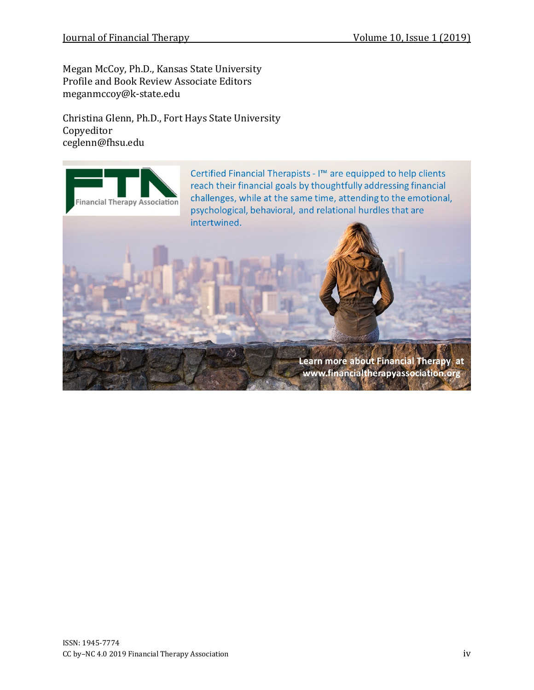Megan McCoy, Ph.D., Kansas State University Profile and Book Review Associate Editors meganmccoy@k-state.edu

Christina Glenn, Ph.D., Fort Hays State University Copyeditor ceglenn@fhsu.edu

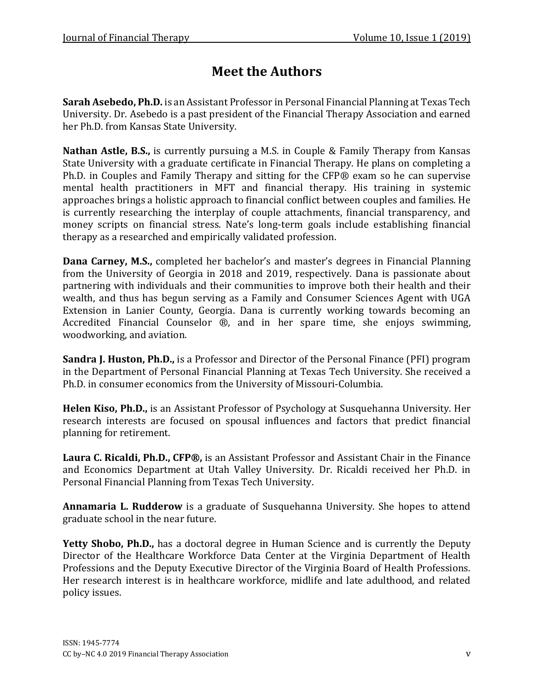## **Meet the Authors**

**Sarah Asebedo, Ph.D.** is an Assistant Professor in Personal Financial Planning at Texas Tech University. Dr. Asebedo is a past president of the Financial Therapy Association and earned her Ph.D. from Kansas State University.

**Nathan Astle, B.S.,** is currently pursuing a M.S. in Couple & Family Therapy from Kansas State University with a graduate certificate in Financial Therapy. He plans on completing a Ph.D. in Couples and Family Therapy and sitting for the CFP® exam so he can supervise mental health practitioners in MFT and financial therapy. His training in systemic approaches brings a holistic approach to financial conflict between couples and families. He is currently researching the interplay of couple attachments, financial transparency, and money scripts on financial stress. Nate's long-term goals include establishing financial therapy as a researched and empirically validated profession.

**Dana Carney, M.S.,** completed her bachelor's and master's degrees in Financial Planning from the University of Georgia in 2018 and 2019, respectively. Dana is passionate about partnering with individuals and their communities to improve both their health and their wealth, and thus has begun serving as a Family and Consumer Sciences Agent with UGA Extension in Lanier County, Georgia. Dana is currently working towards becoming an Accredited Financial Counselor ®, and in her spare time, she enjoys swimming, woodworking, and aviation.

**Sandra J. Huston, Ph.D.,** is a Professor and Director of the Personal Finance (PFI) program in the Department of Personal Financial Planning at Texas Tech University. She received a Ph.D. in consumer economics from the University of Missouri-Columbia.

**Helen Kiso, Ph.D.,** is an Assistant Professor of Psychology at Susquehanna University. Her research interests are focused on spousal influences and factors that predict financial planning for retirement.

**Laura C. Ricaldi, Ph.D., CFP®,** is an Assistant Professor and Assistant Chair in the Finance and Economics Department at Utah Valley University. Dr. Ricaldi received her Ph.D. in Personal Financial Planning from Texas Tech University.

**Annamaria L. Rudderow** is a graduate of Susquehanna University. She hopes to attend graduate school in the near future.

Yetty Shobo, Ph.D., has a doctoral degree in Human Science and is currently the Deputy Director of the Healthcare Workforce Data Center at the Virginia Department of Health Professions and the Deputy Executive Director of the Virginia Board of Health Professions. Her research interest is in healthcare workforce, midlife and late adulthood, and related policy issues.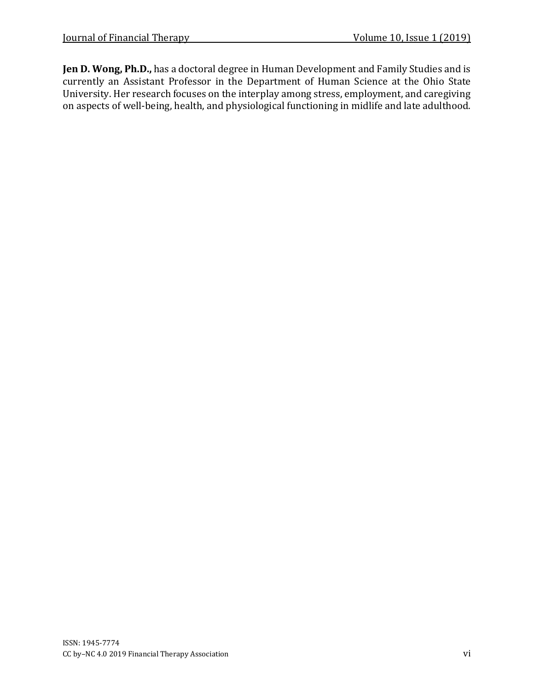**Jen D. Wong, Ph.D.,** has a doctoral degree in Human Development and Family Studies and is currently an Assistant Professor in the Department of Human Science at the Ohio State University. Her research focuses on the interplay among stress, employment, and caregiving on aspects of well-being, health, and physiological functioning in midlife and late adulthood.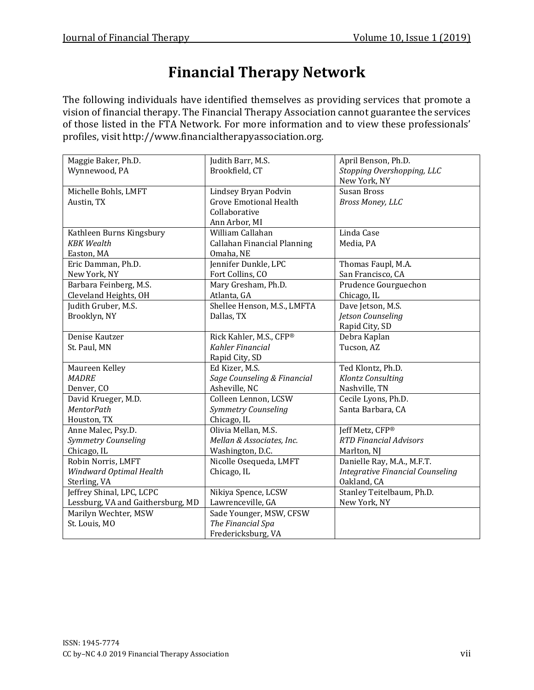# **Financial Therapy Network**

The following individuals have identified themselves as providing services that promote a vision of financial therapy. The Financial Therapy Association cannot guarantee the services of those listed in the FTA Network. For more information and to view these professionals' profiles, visit http://www.financialtherapyassociation.org.

| Maggie Baker, Ph.D.               | Judith Barr, M.S.                  | April Benson, Ph.D.                     |
|-----------------------------------|------------------------------------|-----------------------------------------|
| Wynnewood, PA                     | Brookfield, CT                     | Stopping Overshopping, LLC              |
|                                   |                                    | New York, NY                            |
| Michelle Bohls, LMFT              | Lindsey Bryan Podvin               | Susan Bross                             |
| Austin, TX                        | <b>Grove Emotional Health</b>      | Bross Money, LLC                        |
|                                   | Collaborative                      |                                         |
|                                   | Ann Arbor, MI                      |                                         |
| Kathleen Burns Kingsbury          | William Callahan                   | Linda Case                              |
| <b>KBK</b> Wealth                 | <b>Callahan Financial Planning</b> | Media, PA                               |
| Easton, MA                        | Omaha, NE                          |                                         |
| Eric Damman, Ph.D.                | Jennifer Dunkle, LPC               | Thomas Faupl, M.A.                      |
| New York, NY                      | Fort Collins, CO                   | San Francisco, CA                       |
| Barbara Feinberg, M.S.            | Mary Gresham, Ph.D.                | Prudence Gourguechon                    |
| Cleveland Heights, OH             | Atlanta, GA                        | Chicago, IL                             |
| Judith Gruber, M.S.               | Shellee Henson, M.S., LMFTA        | Dave Jetson, M.S.                       |
| Brooklyn, NY                      | Dallas, TX                         | Jetson Counseling                       |
|                                   |                                    | Rapid City, SD                          |
| Denise Kautzer                    | Rick Kahler, M.S., CFP®            | Debra Kaplan                            |
| St. Paul, MN                      | Kahler Financial                   | Tucson, AZ                              |
|                                   | Rapid City, SD                     |                                         |
| Maureen Kelley                    | Ed Kizer, M.S.                     | Ted Klontz, Ph.D.                       |
| <b>MADRE</b>                      | Sage Counseling & Financial        | Klontz Consulting                       |
| Denver, CO                        | Asheville, NC                      | Nashville, TN                           |
| David Krueger, M.D.               | Colleen Lennon, LCSW               | Cecile Lyons, Ph.D.                     |
| <b>MentorPath</b>                 | Symmetry Counseling                | Santa Barbara, CA                       |
| Houston, TX                       | Chicago, IL                        |                                         |
| Anne Malec, Psy.D.                | Olivia Mellan, M.S.                | Jeff Metz, CFP®                         |
| Symmetry Counseling               | Mellan & Associates, Inc.          | <b>RTD Financial Advisors</b>           |
| Chicago, IL                       | Washington, D.C.                   | Marlton, NJ                             |
| Robin Norris, LMFT                | Nicolle Osequeda, LMFT             | Danielle Ray, M.A., M.F.T.              |
| Windward Optimal Health           | Chicago, IL                        | <b>Integrative Financial Counseling</b> |
| Sterling, VA                      |                                    | Oakland, CA                             |
| Jeffrey Shinal, LPC, LCPC         | Nikiya Spence, LCSW                | Stanley Teitelbaum, Ph.D.               |
| Lessburg, VA and Gaithersburg, MD | Lawrenceville, GA                  | New York, NY                            |
| Marilyn Wechter, MSW              | Sade Younger, MSW, CFSW            |                                         |
| St. Louis, MO                     | The Financial Spa                  |                                         |
|                                   | Fredericksburg, VA                 |                                         |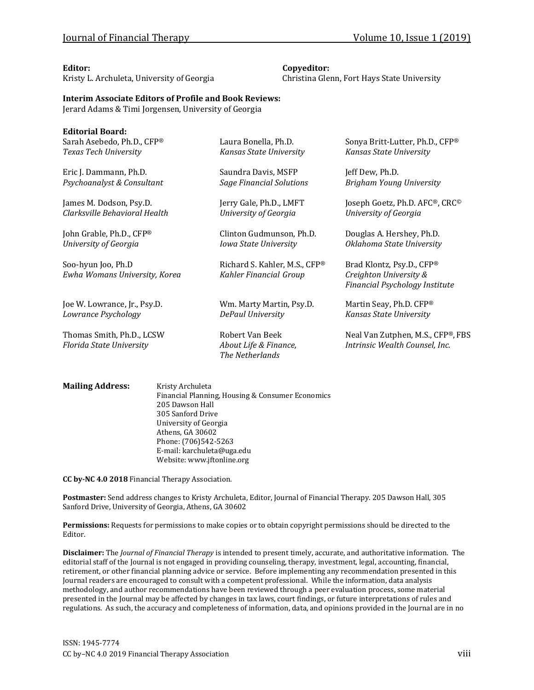Kristy L. Archuleta, University of Georgia Christina Glenn, Fort Hays State University

#### **Editor: Copyeditor:**

#### **Interim Associate Editors of Profile and Book Reviews:**

Jerard Adams & Timi Jorgensen, University of Georgia

| <b>Editorial Board:</b>                             |                                                 |                                                            |
|-----------------------------------------------------|-------------------------------------------------|------------------------------------------------------------|
| Sarah Asebedo, Ph.D., CFP®<br>Texas Tech University | Laura Bonella, Ph.D.<br>Kansas State University | Sonya Britt-Lutter, Ph.D., CFP®<br>Kansas State University |
|                                                     |                                                 |                                                            |
| Eric J. Dammann, Ph.D.                              | Saundra Davis, MSFP                             | Jeff Dew, Ph.D.                                            |
| Psychoanalyst & Consultant                          | <b>Sage Financial Solutions</b>                 | Brigham Young University                                   |
| James M. Dodson, Psy.D.                             | Jerry Gale, Ph.D., LMFT                         | Joseph Goetz, Ph.D. AFC®, CRC®                             |
| Clarksville Behavioral Health                       | University of Georgia                           | University of Georgia                                      |
| John Grable, Ph.D., CFP®                            | Clinton Gudmunson, Ph.D.                        | Douglas A. Hershey, Ph.D.                                  |
| University of Georgia                               | Iowa State University                           | Oklahoma State University                                  |
| Soo-hyun Joo, Ph.D                                  | Richard S. Kahler, M.S., CFP®                   | Brad Klontz, Psy.D., CFP®                                  |
| Ewha Womans University, Korea                       | Kahler Financial Group                          | Creighton University &                                     |
|                                                     |                                                 | Financial Psychology Institute                             |
| Joe W. Lowrance, Jr., Psy.D.                        | Wm. Marty Martin, Psy.D.                        | Martin Seay, Ph.D. CFP®                                    |
| Lowrance Psychology                                 | DePaul University                               | Kansas State University                                    |
| Thomas Smith, Ph.D., LCSW                           | Robert Van Beek                                 | Neal Van Zutphen, M.S., CFP®, FBS                          |
| Florida State University                            | About Life & Finance,                           | Intrinsic Wealth Counsel, Inc.                             |
|                                                     | The Netherlands                                 |                                                            |
|                                                     |                                                 |                                                            |

**Mailing Address:** Kristy Archuleta Financial Planning, Housing & Consumer Economics 205 Dawson Hall 305 Sanford Drive University of Georgia Athens, GA 30602 Phone: (706)542-5263 E-mail: karchuleta@uga.edu Website: www.jftonline.org

**CC by-NC 4.0 2018** Financial Therapy Association.

**Postmaster:** Send address changes to Kristy Archuleta, Editor, Journal of Financial Therapy. 205 Dawson Hall, 305 Sanford Drive, University of Georgia, Athens, GA 30602

**Permissions:** Requests for permissions to make copies or to obtain copyright permissions should be directed to the Editor.

**Disclaimer:** The *Journal of Financial Therapy* is intended to present timely, accurate, and authoritative information. The editorial staff of the Journal is not engaged in providing counseling, therapy, investment, legal, accounting, financial, retirement, or other financial planning advice or service. Before implementing any recommendation presented in this Journal readers are encouraged to consult with a competent professional. While the information, data analysis methodology, and author recommendations have been reviewed through a peer evaluation process, some material presented in the Journal may be affected by changes in tax laws, court findings, or future interpretations of rules and regulations. As such, the accuracy and completeness of information, data, and opinions provided in the Journal are in no